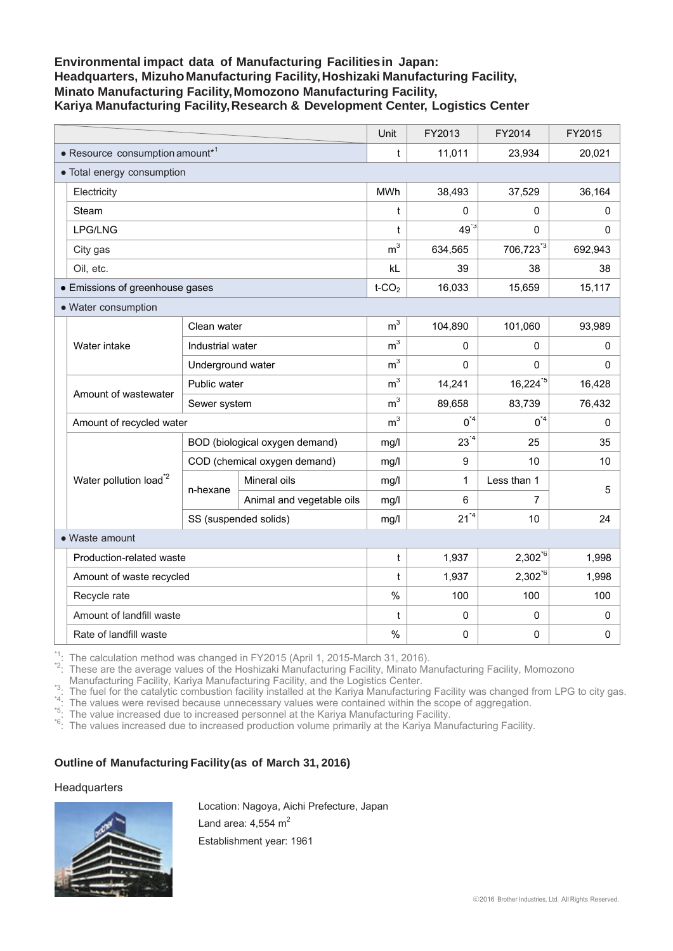# **Environmental impact data of Manufacturing Facilities in Japan: Headquarters, Mizuho Manufacturing Facility, Hoshizaki Manufacturing Facility, Minato Manufacturing Facility, Momozono Manufacturing Facility, Kariya Manufacturing Facility, Research & Development Center, Logistics Center**

|                            |                                    |                                |                           | Unit           | FY2013       | FY2014                | FY2015    |
|----------------------------|------------------------------------|--------------------------------|---------------------------|----------------|--------------|-----------------------|-----------|
|                            | • Resource consumption amount*1    |                                |                           |                | 11,011       | 23,934                | 20,021    |
| • Total energy consumption |                                    |                                |                           |                |              |                       |           |
|                            | Electricity                        |                                |                           | MWh            | 38,493       | 37,529                | 36,164    |
|                            | Steam                              |                                |                           | t              | 0            | 0                     | 0         |
|                            | LPG/LNG                            |                                |                           | t              | $49^{3}$     | 0                     | 0         |
|                            | City gas                           |                                |                           | m <sup>3</sup> | 634,565      | 706,723 <sup>*3</sup> | 692,943   |
|                            | Oil, etc.                          |                                |                           | kL             | 39           | 38                    | 38        |
|                            | • Emissions of greenhouse gases    |                                |                           |                | 16,033       | 15,659                | 15,117    |
| • Water consumption        |                                    |                                |                           |                |              |                       |           |
|                            | Water intake                       | Clean water                    |                           | m <sup>3</sup> | 104,890      | 101,060               | 93,989    |
|                            |                                    | Industrial water               |                           | m <sup>3</sup> | 0            | 0                     | 0         |
|                            |                                    | Underground water              |                           | m <sup>3</sup> | 0            | $\Omega$              | 0         |
|                            | Amount of wastewater               | Public water                   |                           | m <sup>3</sup> | 14,241       | $16,224^{5}$          | 16,428    |
|                            |                                    | Sewer system                   |                           | m <sup>3</sup> | 89,658       | 83,739                | 76,432    |
|                            | Amount of recycled water           |                                |                           | m <sup>3</sup> | $0^{\ast 4}$ | $0^{\ast 4}$          | 0         |
|                            | Water pollution load <sup>*2</sup> | BOD (biological oxygen demand) |                           | mg/l           | $23^{4}$     | 25                    | 35        |
|                            |                                    | COD (chemical oxygen demand)   |                           | mg/l           | 9            | 10                    | 10        |
|                            |                                    | n-hexane                       | Mineral oils              | mg/l           | 1            | Less than 1           | 5         |
|                            |                                    |                                | Animal and vegetable oils | mg/l           | 6            | $\overline{7}$        |           |
|                            |                                    | SS (suspended solids)          |                           | mg/l           | $21^{4}$     | 10                    | 24        |
| • Waste amount             |                                    |                                |                           |                |              |                       |           |
|                            | Production-related waste           |                                |                           | t              | 1,937        | $2,302^{6}$           | 1,998     |
|                            | Amount of waste recycled           |                                |                           | t              | 1,937        | $2,302^{6}$           | 1,998     |
|                            | Recycle rate                       |                                |                           | $\frac{0}{0}$  | 100          | 100                   | 100       |
|                            | Amount of landfill waste           |                                |                           | t              | 0            | 0                     | 0         |
|                            | Rate of landfill waste             |                                |                           | $\frac{0}{0}$  | $\mathsf 0$  | 0                     | $\pmb{0}$ |

 $*1$ : The calculation method was changed in FY2015 (April 1, 2015-March 31, 2016).<br> $*2$ : These are the average values of the Hoshizaki Manufacturing Facility, Minato Manufacturing Facility, Momozono

Manufacturing Facility, Kariya Manufacturing Facility, and the Logistics Center.<br>
"The fuel for the catalytic combustion facility installed at the Kariya Manufacturing Facility was changed from LPG to city gas.<br>
"The value

## **Outline of Manufacturing Facility (as of March 31, 2016)**

### **Headquarters**



Location: Nagoya, Aichi Prefecture, Japan Land area:  $4.554$  m<sup>2</sup> Establishment year: 1961